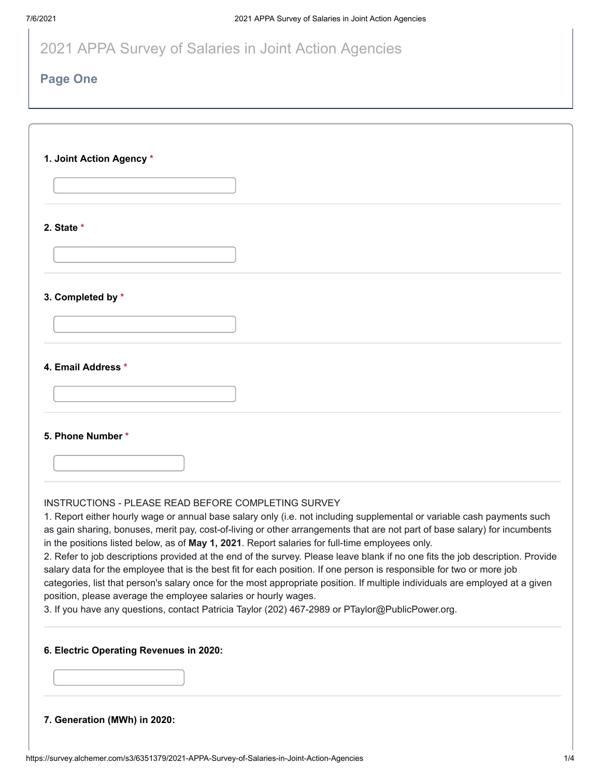| 2021 APPA Survey of Salaries in Joint Action Agencies |  |
|-------------------------------------------------------|--|
|-------------------------------------------------------|--|

## **Page One**

| 1. Joint Action Agency *                                                                                                                                                                                                                                                                                                                                                                                                                                                                                                                                                                                                                                                                                                                                                                                                                                                                                                                                                           |
|------------------------------------------------------------------------------------------------------------------------------------------------------------------------------------------------------------------------------------------------------------------------------------------------------------------------------------------------------------------------------------------------------------------------------------------------------------------------------------------------------------------------------------------------------------------------------------------------------------------------------------------------------------------------------------------------------------------------------------------------------------------------------------------------------------------------------------------------------------------------------------------------------------------------------------------------------------------------------------|
|                                                                                                                                                                                                                                                                                                                                                                                                                                                                                                                                                                                                                                                                                                                                                                                                                                                                                                                                                                                    |
| 2. State *                                                                                                                                                                                                                                                                                                                                                                                                                                                                                                                                                                                                                                                                                                                                                                                                                                                                                                                                                                         |
|                                                                                                                                                                                                                                                                                                                                                                                                                                                                                                                                                                                                                                                                                                                                                                                                                                                                                                                                                                                    |
| 3. Completed by *                                                                                                                                                                                                                                                                                                                                                                                                                                                                                                                                                                                                                                                                                                                                                                                                                                                                                                                                                                  |
|                                                                                                                                                                                                                                                                                                                                                                                                                                                                                                                                                                                                                                                                                                                                                                                                                                                                                                                                                                                    |
| 4. Email Address *                                                                                                                                                                                                                                                                                                                                                                                                                                                                                                                                                                                                                                                                                                                                                                                                                                                                                                                                                                 |
|                                                                                                                                                                                                                                                                                                                                                                                                                                                                                                                                                                                                                                                                                                                                                                                                                                                                                                                                                                                    |
| 5. Phone Number *                                                                                                                                                                                                                                                                                                                                                                                                                                                                                                                                                                                                                                                                                                                                                                                                                                                                                                                                                                  |
|                                                                                                                                                                                                                                                                                                                                                                                                                                                                                                                                                                                                                                                                                                                                                                                                                                                                                                                                                                                    |
| INSTRUCTIONS - PLEASE READ BEFORE COMPLETING SURVEY<br>1. Report either hourly wage or annual base salary only (i.e. not including supplemental or variable cash payments such<br>as gain sharing, bonuses, merit pay, cost-of-living or other arrangements that are not part of base salary) for incumbents<br>in the positions listed below, as of May 1, 2021. Report salaries for full-time employees only.<br>2. Refer to job descriptions provided at the end of the survey. Please leave blank if no one fits the job description. Provide<br>salary data for the employee that is the best fit for each position. If one person is responsible for two or more job<br>categories, list that person's salary once for the most appropriate position. If multiple individuals are employed at a given<br>position, please average the employee salaries or hourly wages.<br>3. If you have any questions, contact Patricia Taylor (202) 467-2989 or PTaylor@PublicPower.org. |
| 6. Electric Operating Revenues in 2020:                                                                                                                                                                                                                                                                                                                                                                                                                                                                                                                                                                                                                                                                                                                                                                                                                                                                                                                                            |
|                                                                                                                                                                                                                                                                                                                                                                                                                                                                                                                                                                                                                                                                                                                                                                                                                                                                                                                                                                                    |

**7. Generation (MWh) in 2020:**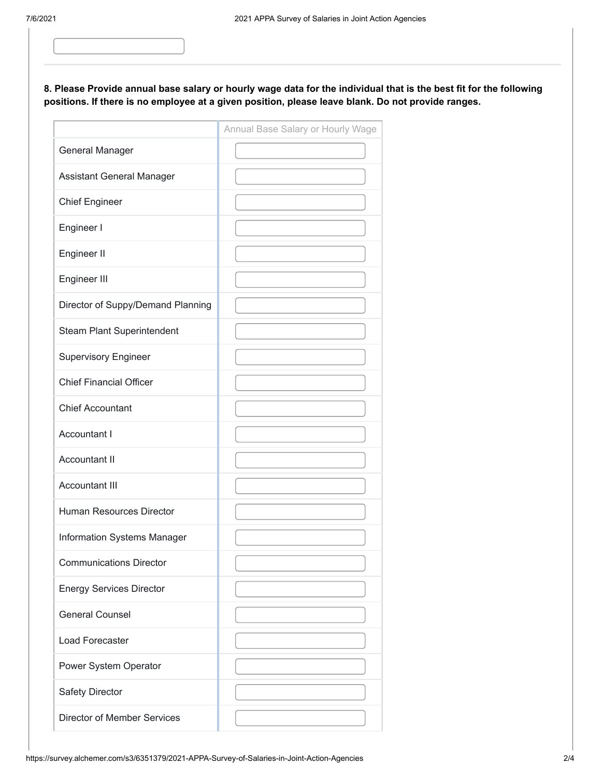## **8. Please Provide annual base salary or hourly wage data for the individual that is the best fit for the following positions. If there is no employee at a given position, please leave blank. Do not provide ranges.**

|                                    | Annual Base Salary or Hourly Wage |
|------------------------------------|-----------------------------------|
| General Manager                    |                                   |
| Assistant General Manager          |                                   |
| <b>Chief Engineer</b>              |                                   |
| Engineer I                         |                                   |
| Engineer II                        |                                   |
| Engineer III                       |                                   |
| Director of Suppy/Demand Planning  |                                   |
| <b>Steam Plant Superintendent</b>  |                                   |
| <b>Supervisory Engineer</b>        |                                   |
| <b>Chief Financial Officer</b>     |                                   |
| <b>Chief Accountant</b>            |                                   |
| Accountant I                       |                                   |
| <b>Accountant II</b>               |                                   |
| <b>Accountant III</b>              |                                   |
| <b>Human Resources Director</b>    |                                   |
| Information Systems Manager        |                                   |
| <b>Communications Director</b>     |                                   |
| <b>Energy Services Director</b>    |                                   |
| <b>General Counsel</b>             |                                   |
| <b>Load Forecaster</b>             |                                   |
| Power System Operator              |                                   |
| <b>Safety Director</b>             |                                   |
| <b>Director of Member Services</b> |                                   |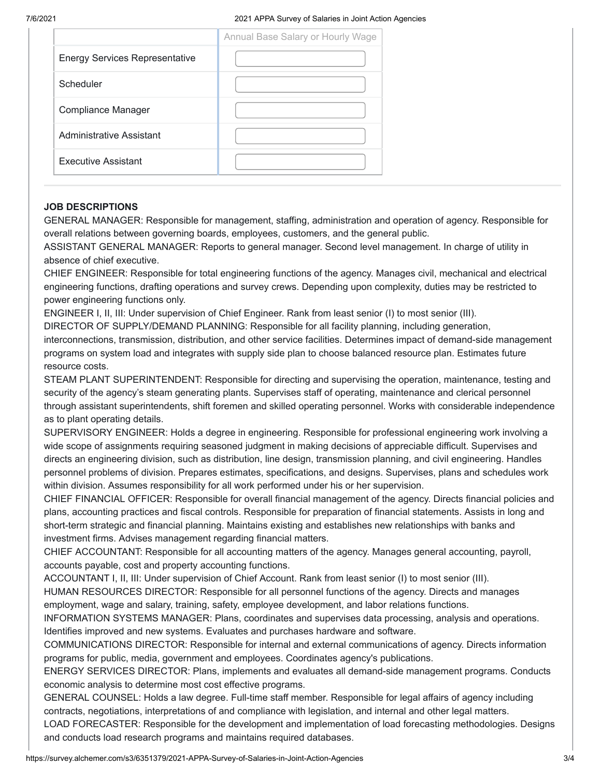|                                       | Annual Base Salary or Hourly Wage |
|---------------------------------------|-----------------------------------|
| <b>Energy Services Representative</b> |                                   |
| Scheduler                             |                                   |
| Compliance Manager                    |                                   |
| Administrative Assistant              |                                   |
| <b>Executive Assistant</b>            |                                   |

## **JOB DESCRIPTIONS**

GENERAL MANAGER: Responsible for management, staffing, administration and operation of agency. Responsible for overall relations between governing boards, employees, customers, and the general public.

ASSISTANT GENERAL MANAGER: Reports to general manager. Second level management. In charge of utility in absence of chief executive.

CHIEF ENGINEER: Responsible for total engineering functions of the agency. Manages civil, mechanical and electrical engineering functions, drafting operations and survey crews. Depending upon complexity, duties may be restricted to power engineering functions only.

ENGINEER I, II, III: Under supervision of Chief Engineer. Rank from least senior (I) to most senior (III).

DIRECTOR OF SUPPLY/DEMAND PLANNING: Responsible for all facility planning, including generation,

interconnections, transmission, distribution, and other service facilities. Determines impact of demand-side management programs on system load and integrates with supply side plan to choose balanced resource plan. Estimates future resource costs.

STEAM PLANT SUPERINTENDENT: Responsible for directing and supervising the operation, maintenance, testing and security of the agency's steam generating plants. Supervises staff of operating, maintenance and clerical personnel through assistant superintendents, shift foremen and skilled operating personnel. Works with considerable independence as to plant operating details.

SUPERVISORY ENGINEER: Holds a degree in engineering. Responsible for professional engineering work involving a wide scope of assignments requiring seasoned judgment in making decisions of appreciable difficult. Supervises and directs an engineering division, such as distribution, line design, transmission planning, and civil engineering. Handles personnel problems of division. Prepares estimates, specifications, and designs. Supervises, plans and schedules work within division. Assumes responsibility for all work performed under his or her supervision.

CHIEF FINANCIAL OFFICER: Responsible for overall financial management of the agency. Directs financial policies and plans, accounting practices and fiscal controls. Responsible for preparation of financial statements. Assists in long and short-term strategic and financial planning. Maintains existing and establishes new relationships with banks and investment firms. Advises management regarding financial matters.

CHIEF ACCOUNTANT: Responsible for all accounting matters of the agency. Manages general accounting, payroll, accounts payable, cost and property accounting functions.

ACCOUNTANT I, II, III: Under supervision of Chief Account. Rank from least senior (I) to most senior (III).

HUMAN RESOURCES DIRECTOR: Responsible for all personnel functions of the agency. Directs and manages employment, wage and salary, training, safety, employee development, and labor relations functions.

INFORMATION SYSTEMS MANAGER: Plans, coordinates and supervises data processing, analysis and operations. Identifies improved and new systems. Evaluates and purchases hardware and software.

COMMUNICATIONS DIRECTOR: Responsible for internal and external communications of agency. Directs information programs for public, media, government and employees. Coordinates agency's publications.

ENERGY SERVICES DIRECTOR: Plans, implements and evaluates all demand-side management programs. Conducts economic analysis to determine most cost effective programs.

GENERAL COUNSEL: Holds a law degree. Full-time staff member. Responsible for legal affairs of agency including contracts, negotiations, interpretations of and compliance with legislation, and internal and other legal matters. LOAD FORECASTER: Responsible for the development and implementation of load forecasting methodologies. Designs and conducts load research programs and maintains required databases.